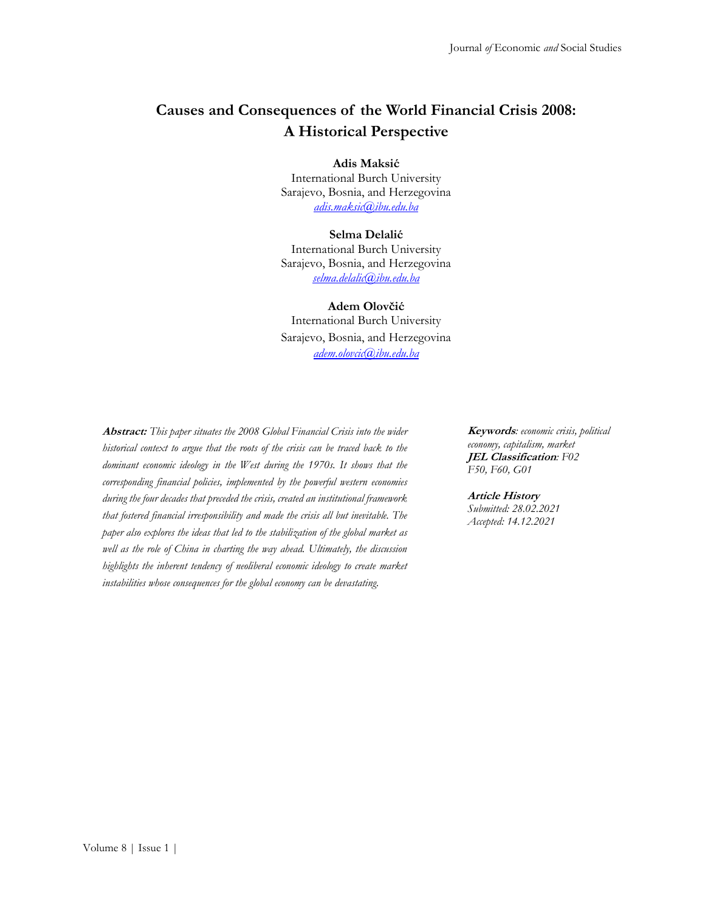# **Causes and Consequences of the World Financial Crisis 2008: A Historical Perspective**

**Adis Maksić**

International Burch University Sarajevo, Bosnia, and Herzegovina *[adis.maksic@ibu.edu.ba](mailto:adis.maksic@ibu.edu.ba)*

#### **Selma Delalić**

International Burch University Sarajevo, Bosnia, and Herzegovina *[selma.delalic@ibu.edu.ba](mailto:selma.delalic@ibu.edu.ba)*

#### **Adem Olovčić**

International Burch University Sarajevo, Bosnia, and Herzegovina *[adem.olovcic@ibu.edu.ba](mailto:adem.olovcic@ibu.edu.ba)*

**Abstract:** *This paper situates the 2008 Global Financial Crisis into the wider historical context to argue that the roots of the crisis can be traced back to the dominant economic ideology in the West during the 1970s. It shows that the corresponding financial policies, implemented by the powerful western economies during the four decades that preceded the crisis, created an institutional framework that fostered financial irresponsibility and made the crisis all but inevitable. The paper also explores the ideas that led to the stabilization of the global market as well as the role of China in charting the way ahead. Ultimately, the discussion highlights the inherent tendency of neoliberal economic ideology to create market instabilities whose consequences for the global economy can be devastating.*

**Keywords***: economic crisis, political economy, capitalism, market* **JEL Classification***: F02 F50, F60, G01*

#### **Article History**

*Submitted: 28.02.2021 Accepted: 14.12.2021*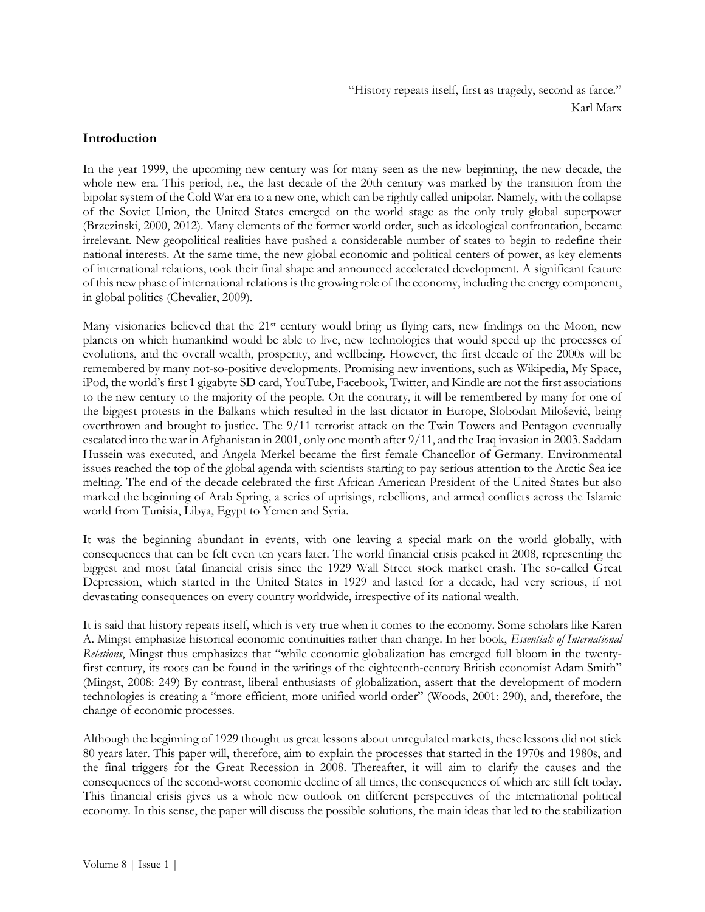#### **Introduction**

In the year 1999, the upcoming new century was for many seen as the new beginning, the new decade, the whole new era. This period, i.e., the last decade of the 20th century was marked by the transition from the bipolar system of the Cold War era to a new one, which can be rightly called unipolar. Namely, with the collapse of the Soviet Union, the United States emerged on the world stage as the only truly global superpower (Brzezinski, 2000, 2012). Many elements of the former world order, such as ideological confrontation, became irrelevant. New geopolitical realities have pushed a considerable number of states to begin to redefine their national interests. At the same time, the new global economic and political centers of power, as key elements of international relations, took their final shape and announced accelerated development. A significant feature of this new phase of international relations is the growing role of the economy, including the energy component, in global politics (Chevalier, 2009).

Many visionaries believed that the  $21$ <sup>st</sup> century would bring us flying cars, new findings on the Moon, new planets on which humankind would be able to live, new technologies that would speed up the processes of evolutions, and the overall wealth, prosperity, and wellbeing. However, the first decade of the 2000s will be remembered by many not-so-positive developments. Promising new inventions, such as Wikipedia, My Space, iPod, the world's first 1 gigabyte SD card, YouTube, Facebook, Twitter, and Kindle are not the first associations to the new century to the majority of the people. On the contrary, it will be remembered by many for one of the biggest protests in the Balkans which resulted in the last dictator in Europe, Slobodan Milošević, being overthrown and brought to justice. The 9/11 terrorist attack on the Twin Towers and Pentagon eventually escalated into the war in Afghanistan in 2001, only one month after 9/11, and the Iraq invasion in 2003. Saddam Hussein was executed, and Angela Merkel became the first female Chancellor of Germany. Environmental issues reached the top of the global agenda with scientists starting to pay serious attention to the Arctic Sea ice melting. The end of the decade celebrated the first African American President of the United States but also marked the beginning of Arab Spring, a series of uprisings, rebellions, and armed conflicts across the Islamic world from Tunisia, Libya, Egypt to Yemen and Syria.

It was the beginning abundant in events, with one leaving a special mark on the world globally, with consequences that can be felt even ten years later. The world financial crisis peaked in 2008, representing the biggest and most fatal financial crisis since the 1929 Wall Street stock market crash. The so-called Great Depression, which started in the United States in 1929 and lasted for a decade, had very serious, if not devastating consequences on every country worldwide, irrespective of its national wealth.

It is said that history repeats itself, which is very true when it comes to the economy. Some scholars like Karen A. Mingst emphasize historical economic continuities rather than change. In her book, *Essentials of International Relations*, Mingst thus emphasizes that "while economic globalization has emerged full bloom in the twentyfirst century, its roots can be found in the writings of the eighteenth-century British economist Adam Smith" (Mingst, 2008: 249) By contrast, liberal enthusiasts of globalization, assert that the development of modern technologies is creating a "more efficient, more unified world order" (Woods, 2001: 290), and, therefore, the change of economic processes.

Although the beginning of 1929 thought us great lessons about unregulated markets, these lessons did not stick 80 years later. This paper will, therefore, aim to explain the processes that started in the 1970s and 1980s, and the final triggers for the Great Recession in 2008. Thereafter, it will aim to clarify the causes and the consequences of the second-worst economic decline of all times, the consequences of which are still felt today. This financial crisis gives us a whole new outlook on different perspectives of the international political economy. In this sense, the paper will discuss the possible solutions, the main ideas that led to the stabilization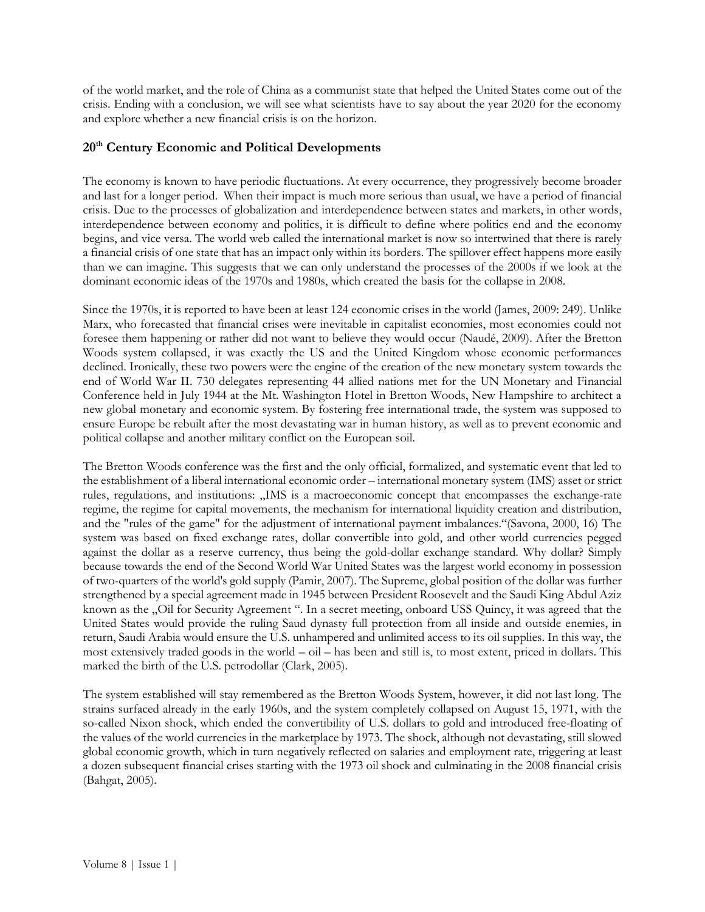of the world market, and the role of China as a communist state that helped the United States come out of the crisis. Ending with a conclusion, we will see what scientists have to say about the year 2020 for the economy and explore whether a new financial crisis is on the horizon.

### **20th Century Economic and Political Developments**

The economy is known to have periodic fluctuations. At every occurrence, they progressively become broader and last for a longer period. When their impact is much more serious than usual, we have a period of financial crisis. Due to the processes of globalization and interdependence between states and markets, in other words, interdependence between economy and politics, it is difficult to define where politics end and the economy begins, and vice versa. The world web called the international market is now so intertwined that there is rarely a financial crisis of one state that has an impact only within its borders. The spillover effect happens more easily than we can imagine. This suggests that we can only understand the processes of the 2000s if we look at the dominant economic ideas of the 1970s and 1980s, which created the basis for the collapse in 2008.

Since the 1970s, it is reported to have been at least 124 economic crises in the world (James, 2009: 249). Unlike Marx, who forecasted that financial crises were inevitable in capitalist economies, most economies could not foresee them happening or rather did not want to believe they would occur (Naudé, 2009). After the Bretton Woods system collapsed, it was exactly the US and the United Kingdom whose economic performances declined. Ironically, these two powers were the engine of the creation of the new monetary system towards the end of World War II. 730 delegates representing 44 allied nations met for the UN Monetary and Financial Conference held in July 1944 at the Mt. Washington Hotel in Bretton Woods, New Hampshire to architect a new global monetary and economic system. By fostering free international trade, the system was supposed to ensure Europe be rebuilt after the most devastating war in human history, as well as to prevent economic and political collapse and another military conflict on the European soil.

The Bretton Woods conference was the first and the only official, formalized, and systematic event that led to the establishment of a liberal international economic order – international monetary system (IMS) asset or strict rules, regulations, and institutions: "IMS is a macroeconomic concept that encompasses the exchange-rate regime, the regime for capital movements, the mechanism for international liquidity creation and distribution, and the "rules of the game" for the adjustment of international payment imbalances."(Savona, 2000, 16) The system was based on fixed exchange rates, dollar convertible into gold, and other world currencies pegged against the dollar as a reserve currency, thus being the gold-dollar exchange standard. Why dollar? Simply because towards the end of the Second World War United States was the largest world economy in possession of two-quarters of the world's gold supply (Pamir, 2007). The Supreme, global position of the dollar was further strengthened by a special agreement made in 1945 between President Roosevelt and the Saudi King Abdul Aziz known as the "Oil for Security Agreement ". In a secret meeting, onboard USS Quincy, it was agreed that the United States would provide the ruling Saud dynasty full protection from all inside and outside enemies, in return, Saudi Arabia would ensure the U.S. unhampered and unlimited access to its oil supplies. In this way, the most extensively traded goods in the world – oil – has been and still is, to most extent, priced in dollars. This marked the birth of the U.S. petrodollar (Clark, 2005).

The system established will stay remembered as the Bretton Woods System, however, it did not last long. The strains surfaced already in the early 1960s, and the system completely collapsed on August 15, 1971, with the so-called Nixon shock, which ended the convertibility of U.S. dollars to gold and introduced free-floating of the values of the world currencies in the marketplace by 1973. The shock, although not devastating, still slowed global economic growth, which in turn negatively reflected on salaries and employment rate, triggering at least a dozen subsequent financial crises starting with the 1973 oil shock and culminating in the 2008 financial crisis (Bahgat, 2005).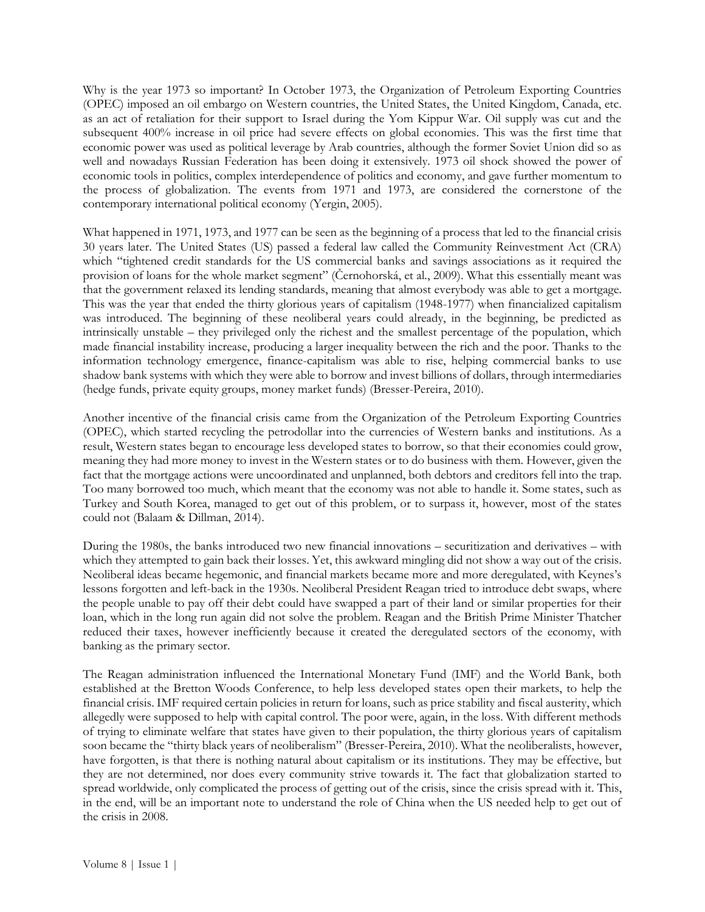Why is the year 1973 so important? In October 1973, the Organization of Petroleum Exporting Countries (OPEC) imposed an oil embargo on Western countries, the United States, the United Kingdom, Canada, etc. as an act of retaliation for their support to Israel during the Yom Kippur War. Oil supply was cut and the subsequent 400% increase in oil price had severe effects on global economies. This was the first time that economic power was used as political leverage by Arab countries, although the former Soviet Union did so as well and nowadays Russian Federation has been doing it extensively. 1973 oil shock showed the power of economic tools in politics, complex interdependence of politics and economy, and gave further momentum to the process of globalization. The events from 1971 and 1973, are considered the cornerstone of the contemporary international political economy (Yergin, 2005).

What happened in 1971, 1973, and 1977 can be seen as the beginning of a process that led to the financial crisis 30 years later. The United States (US) passed a federal law called the Community Reinvestment Act (CRA) which "tightened credit standards for the US commercial banks and savings associations as it required the provision of loans for the whole market segment" (Černohorská, et al., 2009). What this essentially meant was that the government relaxed its lending standards, meaning that almost everybody was able to get a mortgage. This was the year that ended the thirty glorious years of capitalism (1948-1977) when financialized capitalism was introduced. The beginning of these neoliberal years could already, in the beginning, be predicted as intrinsically unstable – they privileged only the richest and the smallest percentage of the population, which made financial instability increase, producing a larger inequality between the rich and the poor. Thanks to the information technology emergence, finance-capitalism was able to rise, helping commercial banks to use shadow bank systems with which they were able to borrow and invest billions of dollars, through intermediaries (hedge funds, private equity groups, money market funds) (Bresser-Pereira, 2010).

Another incentive of the financial crisis came from the Organization of the Petroleum Exporting Countries (OPEC), which started recycling the petrodollar into the currencies of Western banks and institutions. As a result, Western states began to encourage less developed states to borrow, so that their economies could grow, meaning they had more money to invest in the Western states or to do business with them. However, given the fact that the mortgage actions were uncoordinated and unplanned, both debtors and creditors fell into the trap. Too many borrowed too much, which meant that the economy was not able to handle it. Some states, such as Turkey and South Korea, managed to get out of this problem, or to surpass it, however, most of the states could not (Balaam & Dillman, 2014).

During the 1980s, the banks introduced two new financial innovations – securitization and derivatives – with which they attempted to gain back their losses. Yet, this awkward mingling did not show a way out of the crisis. Neoliberal ideas became hegemonic, and financial markets became more and more deregulated, with Keynes's lessons forgotten and left-back in the 1930s. Neoliberal President Reagan tried to introduce debt swaps, where the people unable to pay off their debt could have swapped a part of their land or similar properties for their loan, which in the long run again did not solve the problem. Reagan and the British Prime Minister Thatcher reduced their taxes, however inefficiently because it created the deregulated sectors of the economy, with banking as the primary sector.

The Reagan administration influenced the International Monetary Fund (IMF) and the World Bank, both established at the Bretton Woods Conference, to help less developed states open their markets, to help the financial crisis. IMF required certain policies in return for loans, such as price stability and fiscal austerity, which allegedly were supposed to help with capital control. The poor were, again, in the loss. With different methods of trying to eliminate welfare that states have given to their population, the thirty glorious years of capitalism soon became the "thirty black years of neoliberalism" (Bresser-Pereira, 2010). What the neoliberalists, however, have forgotten, is that there is nothing natural about capitalism or its institutions. They may be effective, but they are not determined, nor does every community strive towards it. The fact that globalization started to spread worldwide, only complicated the process of getting out of the crisis, since the crisis spread with it. This, in the end, will be an important note to understand the role of China when the US needed help to get out of the crisis in 2008.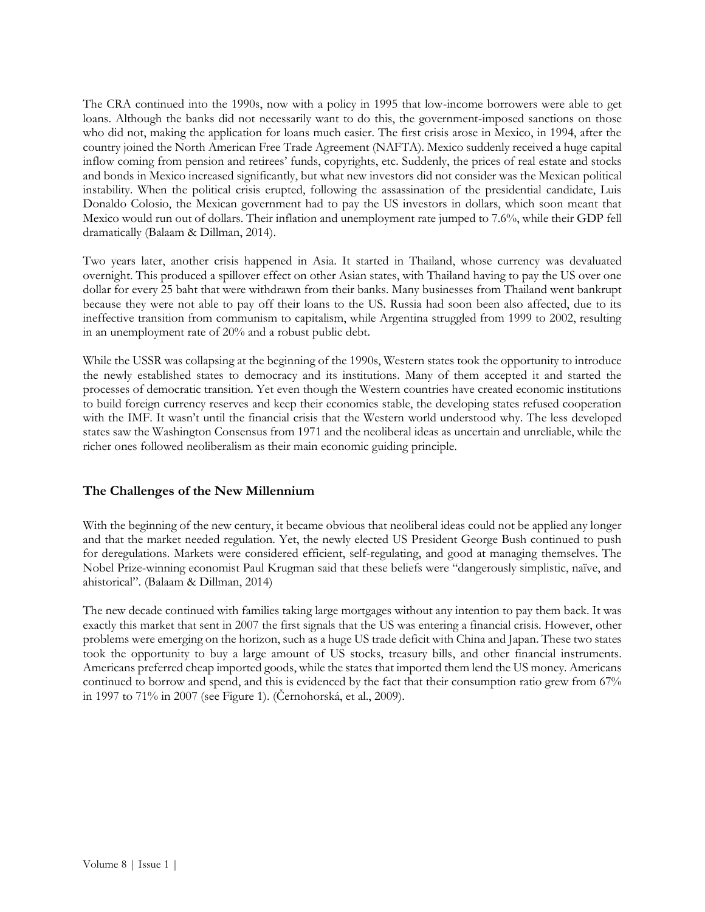The CRA continued into the 1990s, now with a policy in 1995 that low-income borrowers were able to get loans. Although the banks did not necessarily want to do this, the government-imposed sanctions on those who did not, making the application for loans much easier. The first crisis arose in Mexico, in 1994, after the country joined the North American Free Trade Agreement (NAFTA). Mexico suddenly received a huge capital inflow coming from pension and retirees' funds, copyrights, etc. Suddenly, the prices of real estate and stocks and bonds in Mexico increased significantly, but what new investors did not consider was the Mexican political instability. When the political crisis erupted, following the assassination of the presidential candidate, Luis Donaldo Colosio, the Mexican government had to pay the US investors in dollars, which soon meant that Mexico would run out of dollars. Their inflation and unemployment rate jumped to 7.6%, while their GDP fell dramatically (Balaam & Dillman, 2014).

Two years later, another crisis happened in Asia. It started in Thailand, whose currency was devaluated overnight. This produced a spillover effect on other Asian states, with Thailand having to pay the US over one dollar for every 25 baht that were withdrawn from their banks. Many businesses from Thailand went bankrupt because they were not able to pay off their loans to the US. Russia had soon been also affected, due to its ineffective transition from communism to capitalism, while Argentina struggled from 1999 to 2002, resulting in an unemployment rate of 20% and a robust public debt.

While the USSR was collapsing at the beginning of the 1990s, Western states took the opportunity to introduce the newly established states to democracy and its institutions. Many of them accepted it and started the processes of democratic transition. Yet even though the Western countries have created economic institutions to build foreign currency reserves and keep their economies stable, the developing states refused cooperation with the IMF. It wasn't until the financial crisis that the Western world understood why. The less developed states saw the Washington Consensus from 1971 and the neoliberal ideas as uncertain and unreliable, while the richer ones followed neoliberalism as their main economic guiding principle.

# **The Challenges of the New Millennium**

With the beginning of the new century, it became obvious that neoliberal ideas could not be applied any longer and that the market needed regulation. Yet, the newly elected US President George Bush continued to push for deregulations. Markets were considered efficient, self-regulating, and good at managing themselves. The Nobel Prize-winning economist Paul Krugman said that these beliefs were "dangerously simplistic, naïve, and ahistorical". (Balaam & Dillman, 2014)

The new decade continued with families taking large mortgages without any intention to pay them back. It was exactly this market that sent in 2007 the first signals that the US was entering a financial crisis. However, other problems were emerging on the horizon, such as a huge US trade deficit with China and Japan. These two states took the opportunity to buy a large amount of US stocks, treasury bills, and other financial instruments. Americans preferred cheap imported goods, while the states that imported them lend the US money. Americans continued to borrow and spend, and this is evidenced by the fact that their consumption ratio grew from 67% in 1997 to 71% in 2007 (see Figure 1). (Černohorská, et al., 2009).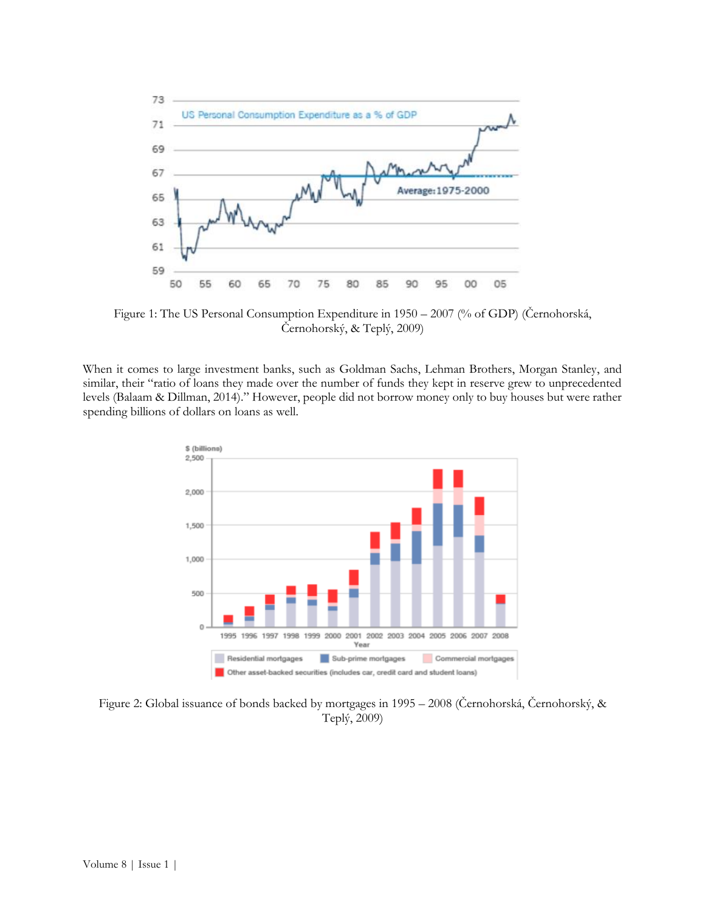

Figure 1: The US Personal Consumption Expenditure in 1950 – 2007 (% of GDP) (Černohorská, Černohorský, & Teplý, 2009)

When it comes to large investment banks, such as Goldman Sachs, Lehman Brothers, Morgan Stanley, and similar, their "ratio of loans they made over the number of funds they kept in reserve grew to unprecedented levels (Balaam & Dillman, 2014)." However, people did not borrow money only to buy houses but were rather spending billions of dollars on loans as well.



Figure 2: Global issuance of bonds backed by mortgages in 1995 – 2008 (Černohorská, Černohorský, & Teplý, 2009)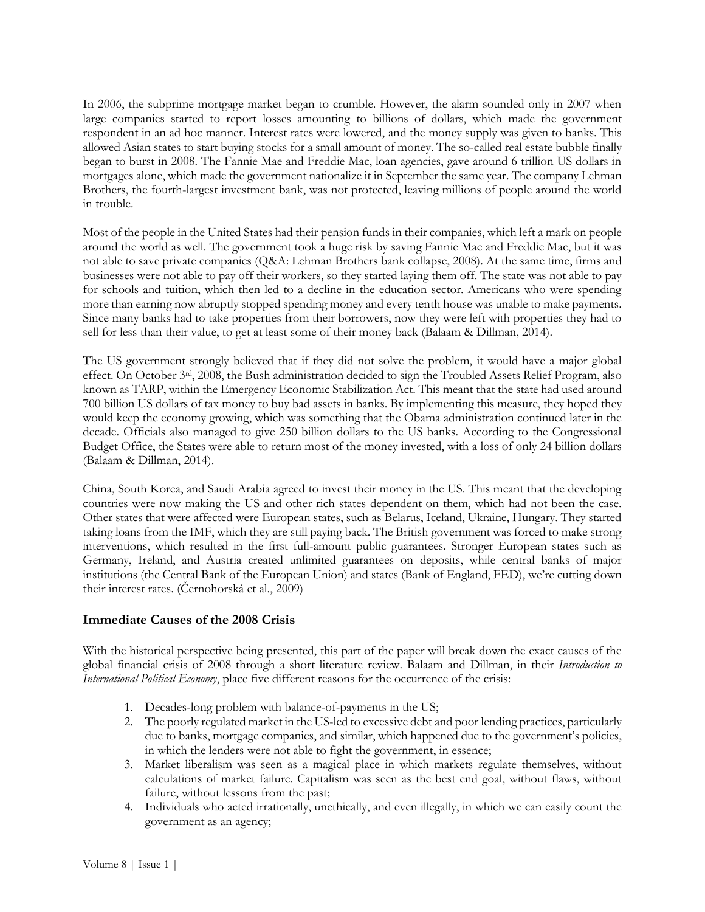In 2006, the subprime mortgage market began to crumble. However, the alarm sounded only in 2007 when large companies started to report losses amounting to billions of dollars, which made the government respondent in an ad hoc manner. Interest rates were lowered, and the money supply was given to banks. This allowed Asian states to start buying stocks for a small amount of money. The so-called real estate bubble finally began to burst in 2008. The Fannie Mae and Freddie Mac, loan agencies, gave around 6 trillion US dollars in mortgages alone, which made the government nationalize it in September the same year. The company Lehman Brothers, the fourth-largest investment bank, was not protected, leaving millions of people around the world in trouble.

Most of the people in the United States had their pension funds in their companies, which left a mark on people around the world as well. The government took a huge risk by saving Fannie Mae and Freddie Mac, but it was not able to save private companies (Q&A: Lehman Brothers bank collapse, 2008). At the same time, firms and businesses were not able to pay off their workers, so they started laying them off. The state was not able to pay for schools and tuition, which then led to a decline in the education sector. Americans who were spending more than earning now abruptly stopped spending money and every tenth house was unable to make payments. Since many banks had to take properties from their borrowers, now they were left with properties they had to sell for less than their value, to get at least some of their money back (Balaam & Dillman, 2014).

The US government strongly believed that if they did not solve the problem, it would have a major global effect. On October 3rd, 2008, the Bush administration decided to sign the Troubled Assets Relief Program, also known as TARP, within the Emergency Economic Stabilization Act. This meant that the state had used around 700 billion US dollars of tax money to buy bad assets in banks. By implementing this measure, they hoped they would keep the economy growing, which was something that the Obama administration continued later in the decade. Officials also managed to give 250 billion dollars to the US banks. According to the Congressional Budget Office, the States were able to return most of the money invested, with a loss of only 24 billion dollars (Balaam & Dillman, 2014).

China, South Korea, and Saudi Arabia agreed to invest their money in the US. This meant that the developing countries were now making the US and other rich states dependent on them, which had not been the case. Other states that were affected were European states, such as Belarus, Iceland, Ukraine, Hungary. They started taking loans from the IMF, which they are still paying back. The British government was forced to make strong interventions, which resulted in the first full-amount public guarantees. Stronger European states such as Germany, Ireland, and Austria created unlimited guarantees on deposits, while central banks of major institutions (the Central Bank of the European Union) and states (Bank of England, FED), we're cutting down their interest rates. (Černohorská et al., 2009)

# **Immediate Causes of the 2008 Crisis**

With the historical perspective being presented, this part of the paper will break down the exact causes of the global financial crisis of 2008 through a short literature review. Balaam and Dillman, in their *Introduction to International Political Economy*, place five different reasons for the occurrence of the crisis:

- 1. Decades-long problem with balance-of-payments in the US;
- 2. The poorly regulated market in the US-led to excessive debt and poor lending practices, particularly due to banks, mortgage companies, and similar, which happened due to the government's policies, in which the lenders were not able to fight the government, in essence;
- 3. Market liberalism was seen as a magical place in which markets regulate themselves, without calculations of market failure. Capitalism was seen as the best end goal, without flaws, without failure, without lessons from the past;
- 4. Individuals who acted irrationally, unethically, and even illegally, in which we can easily count the government as an agency;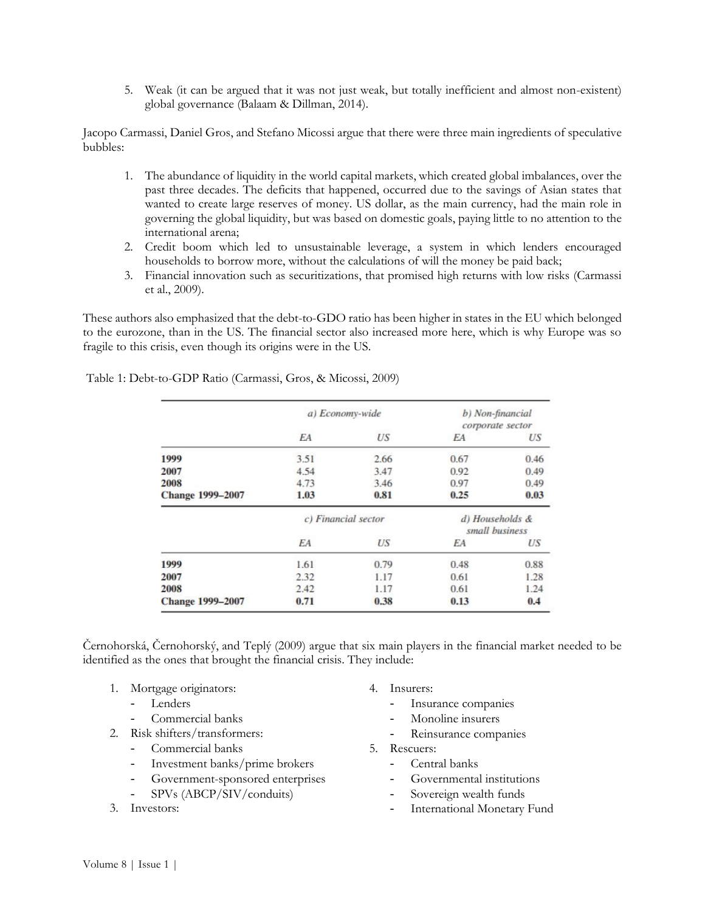5. Weak (it can be argued that it was not just weak, but totally inefficient and almost non-existent) global governance (Balaam & Dillman, 2014).

Jacopo Carmassi, Daniel Gros, and Stefano Micossi argue that there were three main ingredients of speculative bubbles:

- 1. The abundance of liquidity in the world capital markets, which created global imbalances, over the past three decades. The deficits that happened, occurred due to the savings of Asian states that wanted to create large reserves of money. US dollar, as the main currency, had the main role in governing the global liquidity, but was based on domestic goals, paying little to no attention to the international arena;
- 2. Credit boom which led to unsustainable leverage, a system in which lenders encouraged households to borrow more, without the calculations of will the money be paid back;
- 3. Financial innovation such as securitizations, that promised high returns with low risks (Carmassi et al., 2009).

These authors also emphasized that the debt-to-GDO ratio has been higher in states in the EU which belonged to the eurozone, than in the US. The financial sector also increased more here, which is why Europe was so fragile to this crisis, even though its origins were in the US.

|                         | a) Economy-wide     |      | b) Non-financial<br>corporate sector |      |
|-------------------------|---------------------|------|--------------------------------------|------|
|                         | EA                  | US   | EA                                   | US   |
| 1999                    | 3.51                | 2.66 | 0.67                                 | 0.46 |
| 2007                    | 4.54                | 3.47 | 0.92                                 | 0.49 |
| 2008                    | 4.73                | 3.46 | 0.97                                 | 0.49 |
| <b>Change 1999-2007</b> | 1.03                | 0.81 | 0.25                                 | 0.03 |
|                         | c) Financial sector |      | d) Households &<br>small business    |      |
|                         | ΕA                  | US   | EA                                   | US   |
| 1999                    | 1.61                | 0.79 | 0.48                                 | 0.88 |
| 2007                    | 2.32                | 1.17 | 0.61                                 | 1.28 |
| 2008                    | 2.42                | 1.17 | 0.61                                 | 1.24 |
| <b>Change 1999-2007</b> | 0.71                | 0.38 | 0.13                                 | 0.4  |

Table 1: Debt-to-GDP Ratio (Carmassi, Gros, & Micossi, 2009)

Černohorská, Černohorský, and Teplý (2009) argue that six main players in the financial market needed to be identified as the ones that brought the financial crisis. They include:

- 1. Mortgage originators:
	- Lenders
	- Commercial banks
- 2. Risk shifters/transformers:
	- Commercial banks
	- Investment banks/prime brokers
	- Government-sponsored enterprises
	- SPVs (ABCP/SIV/conduits)
- 3. Investors:
- 4. Insurers:
	- Insurance companies
	- Monoline insurers
	- Reinsurance companies
- 5. Rescuers:
	- Central banks
	- Governmental institutions
	- Sovereign wealth funds
	- International Monetary Fund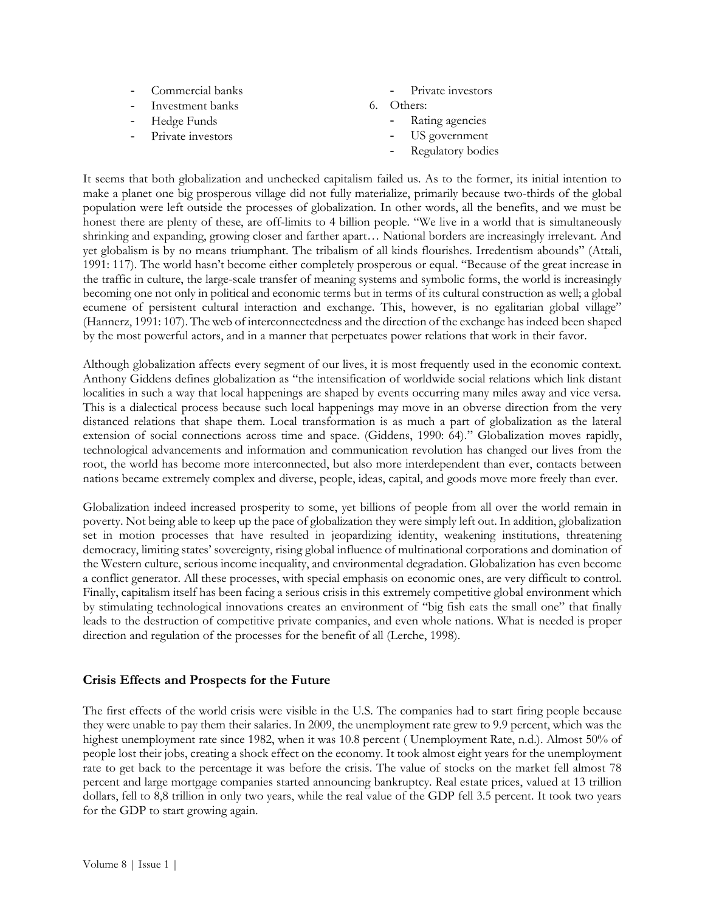- Commercial banks
- Investment banks
- Hedge Funds
- Private investors
- Private investors
- 6. Others:
	- Rating agencies
	- US government
	- Regulatory bodies

It seems that both globalization and unchecked capitalism failed us. As to the former, its initial intention to make a planet one big prosperous village did not fully materialize, primarily because two-thirds of the global population were left outside the processes of globalization. In other words, all the benefits, and we must be honest there are plenty of these, are off-limits to 4 billion people. "We live in a world that is simultaneously shrinking and expanding, growing closer and farther apart… National borders are increasingly irrelevant. And yet globalism is by no means triumphant. The tribalism of all kinds flourishes. Irredentism abounds" (Attali, 1991: 117). The world hasn't become either completely prosperous or equal. "Because of the great increase in the traffic in culture, the large-scale transfer of meaning systems and symbolic forms, the world is increasingly becoming one not only in political and economic terms but in terms of its cultural construction as well; a global ecumene of persistent cultural interaction and exchange. This, however, is no egalitarian global village" (Hannerz, 1991: 107). The web of interconnectedness and the direction of the exchange has indeed been shaped by the most powerful actors, and in a manner that perpetuates power relations that work in their favor.

Although globalization affects every segment of our lives, it is most frequently used in the economic context. Anthony Giddens defines globalization as "the intensification of worldwide social relations which link distant localities in such a way that local happenings are shaped by events occurring many miles away and vice versa. This is a dialectical process because such local happenings may move in an obverse direction from the very distanced relations that shape them. Local transformation is as much a part of globalization as the lateral extension of social connections across time and space. (Giddens, 1990: 64)." Globalization moves rapidly, technological advancements and information and communication revolution has changed our lives from the root, the world has become more interconnected, but also more interdependent than ever, contacts between nations became extremely complex and diverse, people, ideas, capital, and goods move more freely than ever.

Globalization indeed increased prosperity to some, yet billions of people from all over the world remain in poverty. Not being able to keep up the pace of globalization they were simply left out. In addition, globalization set in motion processes that have resulted in jeopardizing identity, weakening institutions, threatening democracy, limiting states' sovereignty, rising global influence of multinational corporations and domination of the Western culture, serious income inequality, and environmental degradation. Globalization has even become a conflict generator. All these processes, with special emphasis on economic ones, are very difficult to control. Finally, capitalism itself has been facing a serious crisis in this extremely competitive global environment which by stimulating technological innovations creates an environment of "big fish eats the small one" that finally leads to the destruction of competitive private companies, and even whole nations. What is needed is proper direction and regulation of the processes for the benefit of all (Lerche, 1998).

#### **Crisis Effects and Prospects for the Future**

The first effects of the world crisis were visible in the U.S. The companies had to start firing people because they were unable to pay them their salaries. In 2009, the unemployment rate grew to 9.9 percent, which was the highest unemployment rate since 1982, when it was 10.8 percent ( Unemployment Rate, n.d.). Almost 50% of people lost their jobs, creating a shock effect on the economy. It took almost eight years for the unemployment rate to get back to the percentage it was before the crisis. The value of stocks on the market fell almost 78 percent and large mortgage companies started announcing bankruptcy. Real estate prices, valued at 13 trillion dollars, fell to 8,8 trillion in only two years, while the real value of the GDP fell 3.5 percent. It took two years for the GDP to start growing again.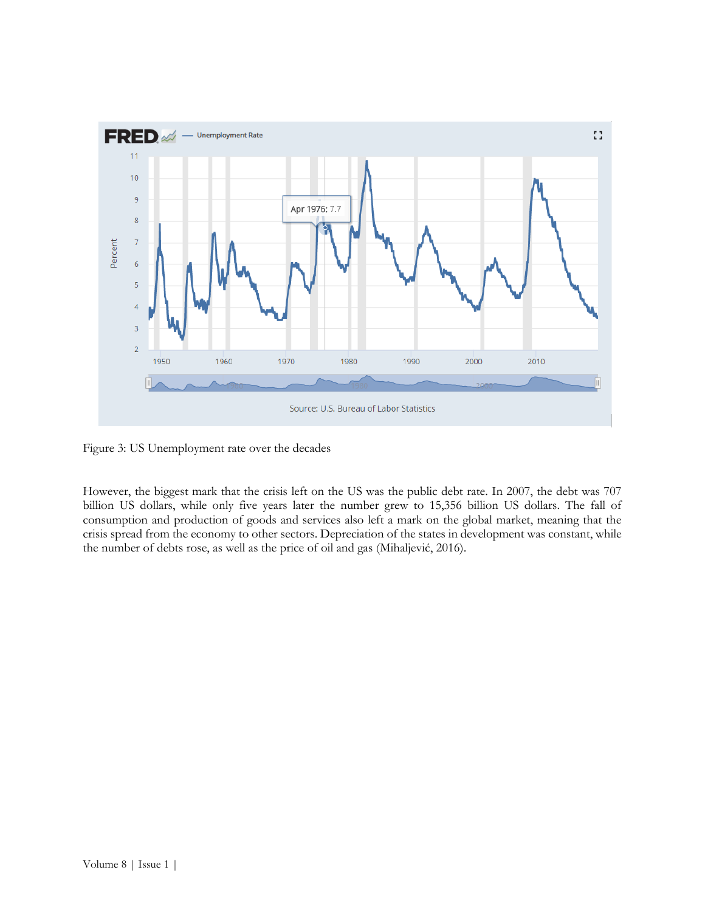

Figure 3: US Unemployment rate over the decades

However, the biggest mark that the crisis left on the US was the public debt rate. In 2007, the debt was 707 billion US dollars, while only five years later the number grew to 15,356 billion US dollars. The fall of consumption and production of goods and services also left a mark on the global market, meaning that the crisis spread from the economy to other sectors. Depreciation of the states in development was constant, while the number of debts rose, as well as the price of oil and gas (Mihaljević, 2016).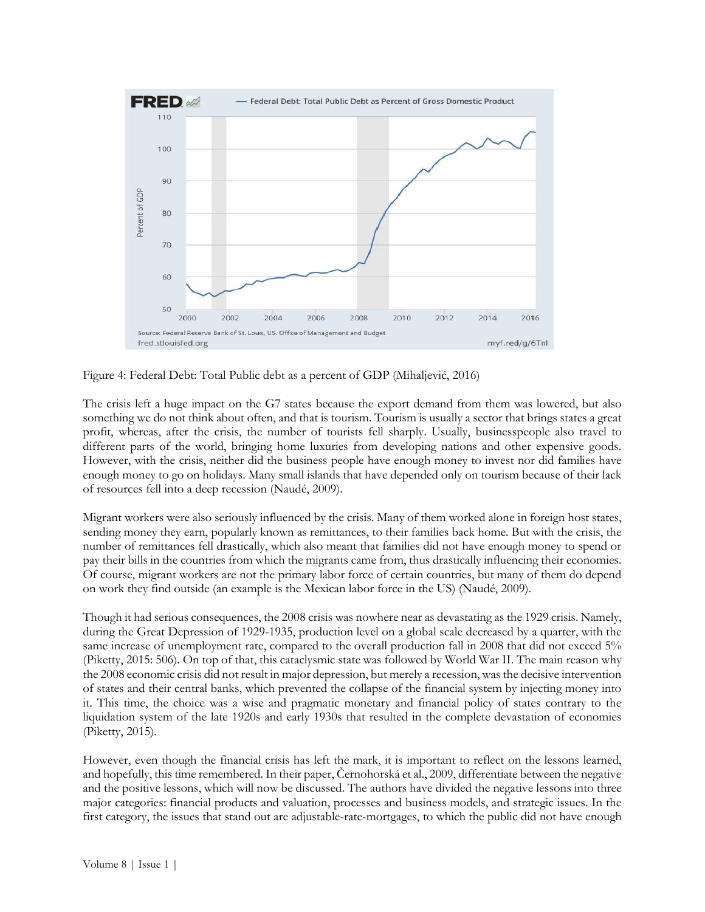

Figure 4: Federal Debt: Total Public debt as a percent of GDP (Mihaljević, 2016)

The crisis left a huge impact on the G7 states because the export demand from them was lowered, but also something we do not think about often, and that is tourism. Tourism is usually a sector that brings states a great profit, whereas, after the crisis, the number of tourists fell sharply. Usually, businesspeople also travel to different parts of the world, bringing home luxuries from developing nations and other expensive goods. However, with the crisis, neither did the business people have enough money to invest nor did families have enough money to go on holidays. Many small islands that have depended only on tourism because of their lack of resources fell into a deep recession (Naudé, 2009).

Migrant workers were also seriously influenced by the crisis. Many of them worked alone in foreign host states, sending money they earn, popularly known as remittances, to their families back home. But with the crisis, the number of remittances fell drastically, which also meant that families did not have enough money to spend or pay their bills in the countries from which the migrants came from, thus drastically influencing their economies. Of course, migrant workers are not the primary labor force of certain countries, but many of them do depend on work they find outside (an example is the Mexican labor force in the US) (Naudé, 2009).

Though it had serious consequences, the 2008 crisis was nowhere near as devastating as the 1929 crisis. Namely, during the Great Depression of 1929-1935, production level on a global scale decreased by a quarter, with the same increase of unemployment rate, compared to the overall production fall in 2008 that did not exceed 5% (Piketty, 2015: 506). On top of that, this cataclysmic state was followed by World War II. The main reason why the 2008 economic crisis did not result in major depression, but merely a recession, was the decisive intervention of states and their central banks, which prevented the collapse of the financial system by injecting money into it. This time, the choice was a wise and pragmatic monetary and financial policy of states contrary to the liquidation system of the late 1920s and early 1930s that resulted in the complete devastation of economies (Piketty, 2015).

However, even though the financial crisis has left the mark, it is important to reflect on the lessons learned, and hopefully, this time remembered. In their paper, Černohorská et al., 2009, differentiate between the negative and the positive lessons, which will now be discussed. The authors have divided the negative lessons into three major categories: financial products and valuation, processes and business models, and strategic issues. In the first category, the issues that stand out are adjustable-rate-mortgages, to which the public did not have enough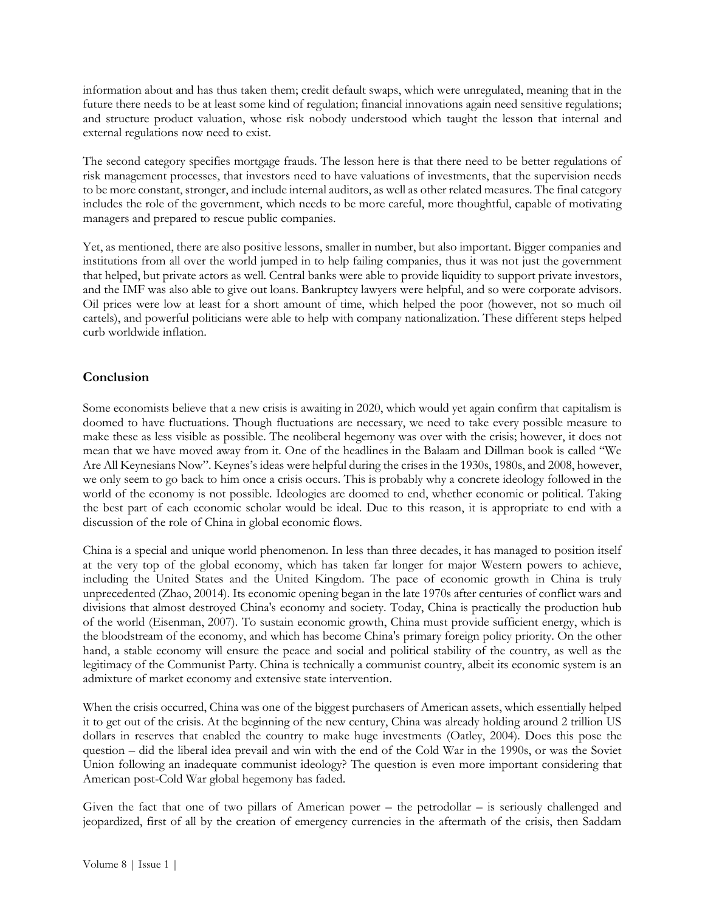information about and has thus taken them; credit default swaps, which were unregulated, meaning that in the future there needs to be at least some kind of regulation; financial innovations again need sensitive regulations; and structure product valuation, whose risk nobody understood which taught the lesson that internal and external regulations now need to exist.

The second category specifies mortgage frauds. The lesson here is that there need to be better regulations of risk management processes, that investors need to have valuations of investments, that the supervision needs to be more constant, stronger, and include internal auditors, as well as other related measures. The final category includes the role of the government, which needs to be more careful, more thoughtful, capable of motivating managers and prepared to rescue public companies.

Yet, as mentioned, there are also positive lessons, smaller in number, but also important. Bigger companies and institutions from all over the world jumped in to help failing companies, thus it was not just the government that helped, but private actors as well. Central banks were able to provide liquidity to support private investors, and the IMF was also able to give out loans. Bankruptcy lawyers were helpful, and so were corporate advisors. Oil prices were low at least for a short amount of time, which helped the poor (however, not so much oil cartels), and powerful politicians were able to help with company nationalization. These different steps helped curb worldwide inflation.

# **Conclusion**

Some economists believe that a new crisis is awaiting in 2020, which would yet again confirm that capitalism is doomed to have fluctuations. Though fluctuations are necessary, we need to take every possible measure to make these as less visible as possible. The neoliberal hegemony was over with the crisis; however, it does not mean that we have moved away from it. One of the headlines in the Balaam and Dillman book is called "We Are All Keynesians Now". Keynes's ideas were helpful during the crises in the 1930s, 1980s, and 2008, however, we only seem to go back to him once a crisis occurs. This is probably why a concrete ideology followed in the world of the economy is not possible. Ideologies are doomed to end, whether economic or political. Taking the best part of each economic scholar would be ideal. Due to this reason, it is appropriate to end with a discussion of the role of China in global economic flows.

China is a special and unique world phenomenon. In less than three decades, it has managed to position itself at the very top of the global economy, which has taken far longer for major Western powers to achieve, including the United States and the United Kingdom. The pace of economic growth in China is truly unprecedented (Zhao, 20014). Its economic opening began in the late 1970s after centuries of conflict wars and divisions that almost destroyed China's economy and society. Today, China is practically the production hub of the world (Eisenman, 2007). To sustain economic growth, China must provide sufficient energy, which is the bloodstream of the economy, and which has become China's primary foreign policy priority. On the other hand, a stable economy will ensure the peace and social and political stability of the country, as well as the legitimacy of the Communist Party. China is technically a communist country, albeit its economic system is an admixture of market economy and extensive state intervention.

When the crisis occurred, China was one of the biggest purchasers of American assets, which essentially helped it to get out of the crisis. At the beginning of the new century, China was already holding around 2 trillion US dollars in reserves that enabled the country to make huge investments (Oatley, 2004). Does this pose the question – did the liberal idea prevail and win with the end of the Cold War in the 1990s, or was the Soviet Union following an inadequate communist ideology? The question is even more important considering that American post-Cold War global hegemony has faded.

Given the fact that one of two pillars of American power – the petrodollar – is seriously challenged and jeopardized, first of all by the creation of emergency currencies in the aftermath of the crisis, then Saddam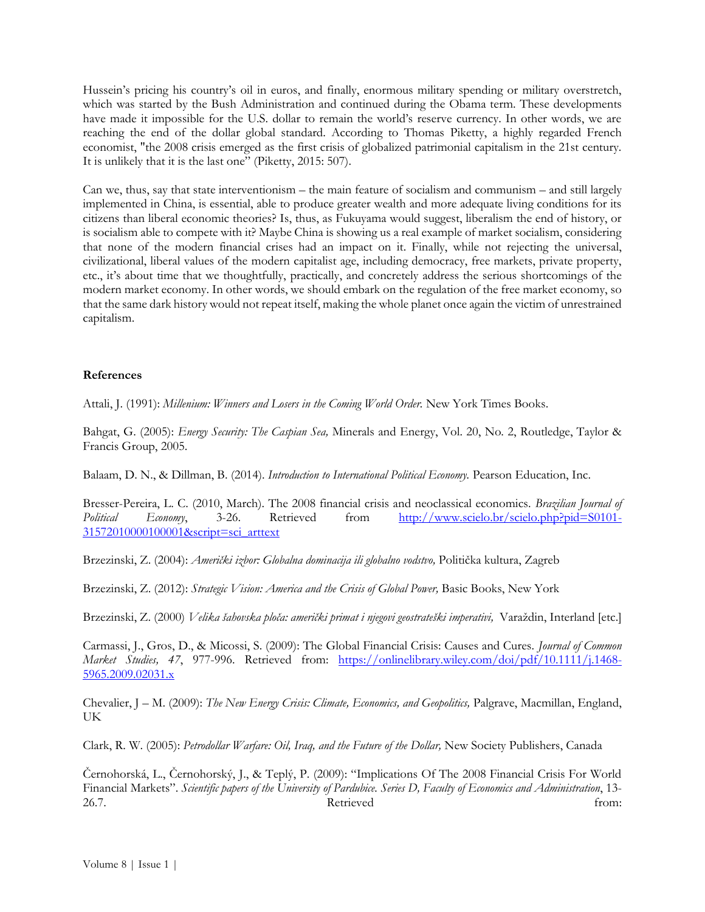Hussein's pricing his country's oil in euros, and finally, enormous military spending or military overstretch, which was started by the Bush Administration and continued during the Obama term. These developments have made it impossible for the U.S. dollar to remain the world's reserve currency. In other words, we are reaching the end of the dollar global standard. According to Thomas Piketty, a highly regarded French economist, "the 2008 crisis emerged as the first crisis of globalized patrimonial capitalism in the 21st century. It is unlikely that it is the last one" (Piketty, 2015: 507).

Can we, thus, say that state interventionism – the main feature of socialism and communism – and still largely implemented in China, is essential, able to produce greater wealth and more adequate living conditions for its citizens than liberal economic theories? Is, thus, as Fukuyama would suggest, liberalism the end of history, or is socialism able to compete with it? Maybe China is showing us a real example of market socialism, considering that none of the modern financial crises had an impact on it. Finally, while not rejecting the universal, civilizational, liberal values of the modern capitalist age, including democracy, free markets, private property, etc., it's about time that we thoughtfully, practically, and concretely address the serious shortcomings of the modern market economy. In other words, we should embark on the regulation of the free market economy, so that the same dark history would not repeat itself, making the whole planet once again the victim of unrestrained capitalism.

#### **References**

Attali, J. (1991): *Millenium: Winners and Losers in the Coming World Order.* New York Times Books.

Bahgat, G. (2005): *Energy Security: The Caspian Sea,* Minerals and Energy, Vol. 20, No. 2, Routledge, Taylor & Francis Group, 2005.

Balaam, D. N., & Dillman, B. (2014). *Introduction to International Political Economy.* Pearson Education, Inc.

Bresser-Pereira, L. C. (2010, March). The 2008 financial crisis and neoclassical economics. *Brazilian Journal of Political Economy*, 3-26. Retrieved from [http://www.scielo.br/scielo.php?pid=S0101-](http://www.scielo.br/scielo.php?pid=S0101-31572010000100001&script=sci_arttext) [31572010000100001&script=sci\\_arttext](http://www.scielo.br/scielo.php?pid=S0101-31572010000100001&script=sci_arttext)

Brzezinski, Z. (2004): *Američki izbor: Globalna dominacija ili globalno vodstvo,* Politička kultura, Zagreb

Brzezinski, Z. (2012): *Strategic Vision: America and the Crisis of Global Power,* Basic Books, New York

Brzezinski, Z. (2000) *Velika šahovska ploča: američki primat i njegovi geostrateški imperativi,* Varaždin, Interland [etc.]

Carmassi, J., Gros, D., & Micossi, S. (2009): The Global Financial Crisis: Causes and Cures. *Journal of Common Market Studies, 47*, 977-996. Retrieved from: [https://onlinelibrary.wiley.com/doi/pdf/10.1111/j.1468-](https://onlinelibrary.wiley.com/doi/pdf/10.1111/j.1468-5965.2009.02031.x) [5965.2009.02031.x](https://onlinelibrary.wiley.com/doi/pdf/10.1111/j.1468-5965.2009.02031.x)

Chevalier, J – M. (2009): *The New Energy Crisis: Climate, Economics, and Geopolitics,* Palgrave, Macmillan, England, UK

Clark, R. W. (2005): *Petrodollar Warfare: Oil, Iraq, and the Future of the Dollar,* New Society Publishers, Canada

Černohorská, L., Černohorský, J., & Teplý, P. (2009): "Implications Of The 2008 Financial Crisis For World Financial Markets". *Scientific papers of the University of Pardubice. Series D, Faculty of Economics and Administration*, 13- 26.7. Retrieved from: